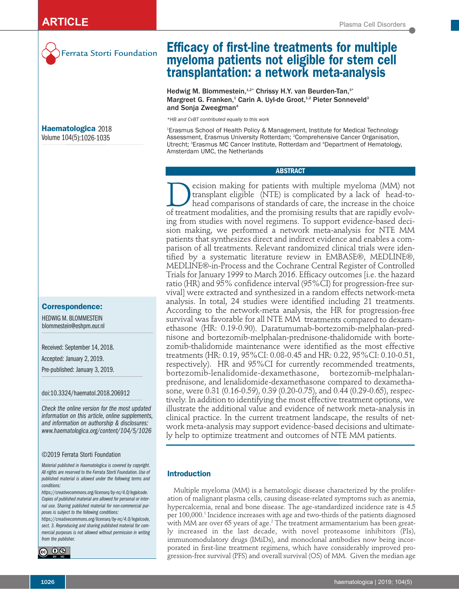

Ferrata Storti Foundation

**Haematologica** 2018 Volume 104(5):1026-1035

### **Correspondence:**

HEDWIG M. BLOMMESTEIN blommestein@eshpm.eur.nl

Received: September 14, 2018.

Accepted: January 2, 2019.

Pre-published: January 3, 2019.

doi:10.3324/haematol.2018.206912

*Check the online version for the most updated information on this article, online supplements, and information on authorship & disclosures: www.haematologica.org/content/104/5/1026*

#### ©2019 Ferrata Storti Foundation

*Material published in Haematologica is covered by copyright. All rights are reserved to the Ferrata Storti Foundation. Use of published material is allowed under the following terms and conditions:* 

*https://creativecommons.org/licenses/by-nc/4.0/legalcode. Copies of published material are allowed for personal or internal use. Sharing published material for non-commercial purposes is subject to the following conditions:* 

*https://creativecommons.org/licenses/by-nc/4.0/legalcode, sect. 3. Reproducing and sharing published material for commercial purposes is not allowed without permission in writing from the publisher.*



**Efficacy of first-line treatments for multiple myeloma patients not eligible for stem cell transplantation: a network meta-analysis**

Hedwig M. Blommestein,<sup>1,2\*</sup> Chrissy H.Y. van Beurden-Tan,<sup>3\*</sup> Margreet G. Franken,<sup>1</sup> Carin A. Uyl-de Groot,<sup>1,2</sup> Pieter Sonneveld<sup>3</sup> and Sonja Zweegman<sup>4</sup>

*\*HB and CvBT contributed equally to this work* 

1 Erasmus School of Health Policy & Management, Institute for Medical Technology Assessment, Erasmus University Rotterdam; 2 Comprehensive Cancer Organisation, Utrecht; <sup>3</sup>Erasmus MC Cancer Institute, Rotterdam and <sup>4</sup>Department of Hematology, Amsterdam UMC, the Netherlands

### **ABSTRACT**

ecision making for patients with multiple myeloma (MM) not transplant eligible (NTE) is complicated by a lack of head-tohead comparisons of standards of care, the increase in the choice of treatment modalities, and the promising results that are rapidly evolving from studies with novel regimens. To support evidence-based decision making, we performed a network meta-analysis for NTE MM patients that synthesizes direct and indirect evidence and enables a comparison of all treatments. Relevant randomized clinical trials were identified by a systematic literature review in EMBASE®, MEDLINE®, MEDLINE®-in-Process and the Cochrane Central Register of Controlled Trials for January 1999 to March 2016. Efficacy outcomes [i.e. the hazard ratio (HR) and 95% confidence interval (95%CI) for progression-free survival] were extracted and synthesized in a random effects network-meta analysis. In total, 24 studies were identified including 21 treatments. According to the network-meta analysis, the HR for progression-free survival was favorable for all NTE MM treatments compared to dexamethasone (HR: 0.19-0.90). Daratumumab-bortezomib-melphalan-prednisone and bortezomib-melphalan-prednisone-thalidomide with bortezomib-thalidomide maintenance were identified as the most effective treatments (HR: 0.19, 95%CI: 0.08-0.45 and HR: 0.22, 95%CI: 0.10-0.51, respectively). HR and 95%CI for currently recommended treatments, bortezomib-lenalidomide-dexamethasone, bortezomib-melphalanprednisone, and lenalidomide-dexamethasone compared to dexamethasone, were 0.31 (0.16-0.59), 0.39 (0.20-0.75), and 0.44 (0.29-0.65), respectively. In addition to identifying the most effective treatment options, we illustrate the additional value and evidence of network meta-analysis in clinical practice. In the current treatment landscape, the results of network meta-analysis may support evidence-based decisions and ultimately help to optimize treatment and outcomes of NTE MM patients.

# **Introduction**

Multiple myeloma (MM) is a hematologic disease characterized by the proliferation of malignant plasma cells, causing disease-related symptoms such as anemia, hypercalcemia, renal and bone disease. The age-standardized incidence rate is 4.5 per 100,000.<sup>1</sup> Incidence increases with age and two-thirds of the patients diagnosed with MM are over 65 years of age.<sup>2</sup> The treatment armamentarium has been greatly increased in the last decade, with novel proteasome inhibitors (PIs), immunomodulatory drugs (IMiDs), and monoclonal antibodies now being incorporated in first-line treatment regimens, which have considerably improved progression-free survival (PFS) and overall survival (OS) of MM. Given the median age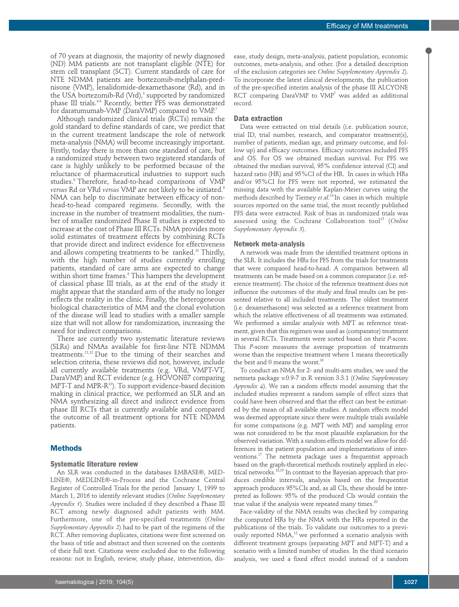of 70 years at diagnosis, the majority of newly diagnosed (ND) MM patients are not transplant eligible (NTE) for stem cell transplant (SCT). Current standards of care for NTE NDMM patients are bortezomib-melphalan-prednisone (VMP), lenalidomide-dexamethasone (Rd), and in the USA bortezomib-Rd  $(Vrd)$ ,<sup>3</sup> supported by randomized phase III trials.<sup>4-6</sup> Recently, better PFS was demonstrated for daratumumab-VMP (DaraVMP) compared to VMP.7

Although randomized clinical trials (RCTs) remain the gold standard to define standards of care, we predict that in the current treatment landscape the role of network meta-analysis (NMA) will become increasingly important. Firstly, today there is more than one standard of care, but a randomized study between two registered standards of care is highly unlikely to be performed because of the reluctance of pharmaceutical industries to support such studies.<sup>8</sup> Therefore, head-to-head comparisons of VMP *versus* Rd or VRd *versus* VMP are not likely to be initiated.9 NMA can help to discriminate between efficacy of nonhead-to-head compared regimens. Secondly, with the increase in the number of treatment modalities, the number of smaller randomized Phase II studies is expected to increase at the cost of Phase III RCTs. NMA provides more solid estimates of treatment effects by combining RCTs that provide direct and indirect evidence for effectiveness and allows competing treatments to be ranked.<sup>10</sup> Thirdly, with the high number of studies currently enrolling patients, standard of care arms are expected to change within short time frames.<sup>8</sup> This hampers the development of classical phase III trials, as at the end of the study it might appear that the standard arm of the study no longer reflects the reality in the clinic. Finally, the heterogeneous biological characteristics of MM and the clonal evolution of the disease will lead to studies with a smaller sample size that will not allow for randomization, increasing the need for indirect comparisons.

There are currently two systematic literature reviews (SLRs) and NMAs available for first-line NTE NDMM treatments.11,12 Due to the timing of their searches and selection criteria, these reviews did not, however, include all currently available treatments (e.g. VRd, VMPT-VT, DaraVMP) and RCT evidence (e.g. HOVON87 comparing MPT-T and MPR-R<sup>13</sup>). To support evidence-based decision making in clinical practice, we performed an SLR and an NMA synthesizing all direct and indirect evidence from phase III RCTs that is currently available and compared the outcome of all treatment options for NTE NDMM patients.

#### **Methods**

#### **Systematic literature review**

An SLR was conducted in the databases EMBASE®, MED-LINE®, MEDLINE®-in-Process and the Cochrane Central Register of Controlled Trials for the period January 1, 1999 to March 1, 2016 to identify relevant studies (*Online Supplementary Appendix 1*). Studies were included if they described a Phase III RCT among newly diagnosed adult patients with MM. Furthermore, one of the pre-specified treatments (*Online Supplementary Appendix 2*) had to be part of the regimens of the RCT. After removing duplicates, citations were first screened on the basis of title and abstract and then screened on the contents of their full text. Citations were excluded due to the following reasons: not in English, review, study phase, intervention, disease, study design, meta-analysis, patient population, economic outcomes, meta-analysis, and other. (For a detailed description of the exclusion categories see *Online Supplementary Appendix 2*). To incorporate the latest clinical developments, the publication of the pre-specified interim analysis of the phase III ALCYONE RCT comparing DaraVMP to VMP<sup>7</sup> was added as additional record.

# **Data extraction**

Data were extracted on trial details (i.e. publication source, trial ID, trial number, research, and comparator treatment(s), number of patients, median age, and primary outcome, and follow up) and efficacy outcomes. Efficacy outcomes included PFS and OS. For OS we obtained median survival. For PFS we obtained the median survival, 95% confidence interval (CI) and hazard ratio (HR) and 95%CI of the HR. In cases in which HRs and/or 95%CI for PFS were not reported, we estimated the missing data with the available Kaplan-Meier curves using the methods described by Tierney *et al*. 14 In cases in which multiple sources reported on the same trial, the most recently published PFS data were extracted. Risk of bias in randomized trials was assessed using the Cochrane Collaboration tool<sup>15</sup> (Online *Supplementary Appendix 3*).

#### **Network meta-analysis**

A network was made from the identified treatment options in the SLR. It includes the HRs for PFS from the trials for treatments that were compared head-to-head. A comparison between all treatments can be made based on a common comparator (i.e. reference treatment). The choice of the reference treatment does not influence the outcomes of the study and final results can be presented relative to all included treatments. The oldest treatment (i.e. dexamethasone) was selected as a reference treatment from which the relative effectiveness of all treatments was estimated. We performed a similar analysis with MPT as reference treatment, given that this regimen was used as (comparator) treatment in several RCTs. Treatments were sorted based on their *P*-score. This *P*-score measures the average proportion of treatments worse than the respective treatment where 1 means theoretically the best and 0 means the worst.<sup>16</sup>

To conduct an NMA for 2- and multi-arm studies, we used the netmeta package v.0.9-7 in R version 3.3.1 (*Online Supplementary Appendix 4*). We ran a random effects model assuming that the included studies represent a random sample of effect sizes that could have been observed and that the effect can best be estimated by the mean of all available studies. A random effects model was deemed appropriate since there were multiple trials available for some comparisons (e.g. MPT with MP) and sampling error was not considered to be the most plausible explanation for the observed variation. With a random effects model we allow for differences in the patient population and implementations of interventions.17 The netmeta package uses a frequentist approach based on the graph-theoretical methods routinely applied in electrical networks.18,19 In contrast to the Bayesian approach that produces credible intervals, analysis based on the frequentist approach produces 95%CIs and, as all CIs, these should be interpreted as follows: 95% of the produced CIs would contain the true value if the analysis were repeated many times. $20$ 

Face-validity of the NMA results was checked by comparing the computed HRs by the NMA with the HRs reported in the publications of the trials. To validate our outcomes to a previously reported NMA,<sup>12</sup> we performed a scenario analysis with different treatment groups (separating MPT and MPT-T) and a scenario with a limited number of studies. In the third scenario analysis, we used a fixed effect model instead of a random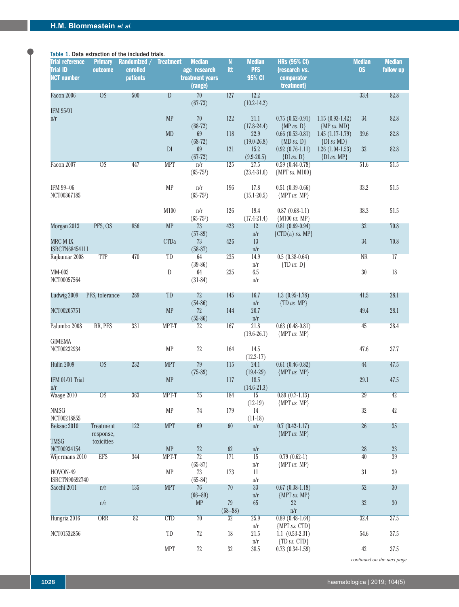# Table 1. Data extraction of the included trials.

| <b>Trial reference</b> | <b>Primary</b>          | Randomized /     | <b>Treatment</b>        | <b>Median</b>           | $\mathbf N$      | <b>Median</b>           | <b>HRs (95% CI)</b>                                         |                                      | <b>Median</b>          | <b>Median</b>   |
|------------------------|-------------------------|------------------|-------------------------|-------------------------|------------------|-------------------------|-------------------------------------------------------------|--------------------------------------|------------------------|-----------------|
| <b>Trial ID</b>        | outcome                 | enrolled         |                         | age research            | itt              | <b>PFS</b>              | {research vs.                                               |                                      | <b>OS</b>              | follow up       |
| <b>NCT number</b>      |                         | <b>patients</b>  |                         | treatment years         |                  | 95% CI                  | comparator                                                  |                                      |                        |                 |
|                        |                         |                  |                         | (range)                 |                  |                         | treatment}                                                  |                                      |                        |                 |
| Facon 2006             | <b>OS</b>               | 500              | $\mathbf{D}$            | 70                      | 127              | 12.2                    |                                                             |                                      | 33.4                   | 82.8            |
| IFM 95/01              |                         |                  |                         | $(67-73)$               |                  | $(10.2 - 14.2)$         |                                                             |                                      |                        |                 |
| n/r                    |                         |                  | <b>MP</b>               | 70                      | 122              | 21.1                    | $0.75(0.62-0.91)$                                           | $1.15(0.93-1.42)$                    | 34                     | 82.8            |
|                        |                         |                  |                         | $(68-72)$               |                  | $(17.8 - 24.4)$         | ${MP vs. D}$                                                | ${MP vs. MD}$                        |                        |                 |
|                        |                         |                  | <b>MD</b>               | 69                      | 118              | 22.9                    | $0.66(0.53-0.81)$                                           | $1.45(1.17-1.79)$                    | 39.6                   | 82.8            |
|                        |                         |                  |                         | $(68-72)$               |                  | $(19.0 - 26.8)$         | ${MD \text{ } \nu s. \text{ } D}$                           | $\{DI \text{ } \nu s \text{ } MD\}$  |                        |                 |
|                        |                         |                  | $\mathbb{D}\mathcal{I}$ | 69                      | 121              | 15.2                    | $0.92(0.76-1.11)$                                           | $1.26(1.04-1.53)$                    | 32                     | 82.8            |
| Facon 2007             | $\overline{OS}$         | 447              | <b>MPT</b>              | $(67-72)$<br>n/r        | 125              | $(9.9 - 20.5)$<br>27.5  | $\{DI \text{ } \nu s. \text{ } D\}$<br>$0.59(0.44-0.78)$    | $\{DI \text{ } \nu s. \text{ } MP\}$ | 51.6                   | 51.5            |
|                        |                         |                  |                         | $(65-75)$               |                  | $(23.4 - 31.6)$         | ${MPT \iota s. M100}$                                       |                                      |                        |                 |
|                        |                         |                  |                         |                         |                  |                         |                                                             |                                      |                        |                 |
| IFM 99-06              |                         |                  | <b>MP</b>               | $\mathrm{n}/\mathrm{r}$ | 196              | 17.8                    | $0.51(0.39-0.66)$                                           |                                      | 33.2                   | 51.5            |
| NCT00367185            |                         |                  |                         | $(65 - 75^2)$           |                  | $(15.1 - 20.5)$         | ${MPT \textit{vs. MP}}$                                     |                                      |                        |                 |
|                        |                         |                  |                         |                         |                  |                         |                                                             |                                      |                        |                 |
|                        |                         |                  | M100                    | n/r<br>$(65 - 75^3)$    | 126              | 19.4<br>$(17.4 - 21.4)$ | $0.87(0.68-1.1)$<br>${M100 \text{ }\nu s. \text{ MP}}$      |                                      | 38.3                   | 51.5            |
| Morgan 2013            | PFS, OS                 | 856              | <b>MP</b>               | 73                      | 423              | 12                      | $0.81(0.69-0.94)$                                           |                                      | 32                     | 70.8            |
|                        |                         |                  |                         | $(57-89)$               |                  | n/r                     | $\{CTD(a) \text{ } \nu s. \text{ } MP \}$                   |                                      |                        |                 |
| MRC M IX               |                         |                  | <b>CTDa</b>             | 73                      | 426              | 13                      |                                                             |                                      | $34\,$                 | 70.8            |
| ISRCTN68454111         |                         |                  |                         | $(58-87)$               |                  | $\mathrm{n}/\mathrm{r}$ |                                                             |                                      |                        |                 |
| Rajkumar 2008          | <b>TTP</b>              | 470              | TD                      | 64                      | 235              | 14.9                    | $0.5(0.38-0.64)$                                            |                                      | $\overline{\text{NR}}$ | $\overline{17}$ |
| MM-003                 |                         |                  | ${\mathbb D}$           | $(39-86)$<br>64         | 235              | n/r<br>6.5              | $\{TD \text{ } \nu s. \text{ } D\}$                         |                                      | $30\,$                 | 18              |
| NCT00057564            |                         |                  |                         | $(31-84)$               |                  | n/r                     |                                                             |                                      |                        |                 |
|                        |                         |                  |                         |                         |                  |                         |                                                             |                                      |                        |                 |
| Ludwig 2009            | PFS, tolerance          | 289              | TD                      | 72                      | 145              | 16.7                    | $1.3(0.95-1.78)$                                            |                                      | 41.5                   | 28.1            |
|                        |                         |                  |                         | $(54-86)$               |                  | $\mathrm{n}/\mathrm{r}$ | $\{TD \text{ } \nu s. \text{ } MP \}$                       |                                      |                        |                 |
| NCT00205751            |                         |                  | MP                      | 72                      | 144              | 20.7                    |                                                             |                                      | 49.4                   | 28.1            |
| Palumbo 2008           | RR, PFS                 | 331              | MPT-T                   | $(55-86)$<br>72         | 167              | n/r<br>21.8             | $0.63(0.48-0.81)$                                           |                                      | 45                     | 38.4            |
|                        |                         |                  |                         |                         |                  | $(19.6 - 26.1)$         | ${MPT \textit{vs. MP}}$                                     |                                      |                        |                 |
| <b>GIMEMA</b>          |                         |                  |                         |                         |                  |                         |                                                             |                                      |                        |                 |
| NCT00232934            |                         |                  | MP                      | $72\,$                  | 164              | 14.5                    |                                                             |                                      | 47.6                   | $37.7\,$        |
|                        |                         |                  |                         |                         |                  | $(12.2 - 17)$           |                                                             |                                      |                        |                 |
| Hulin 2009             | <b>OS</b>               | 232              | <b>MPT</b>              | 79                      | 115              | 24.1                    | $0.61(0.46-0.82)$                                           |                                      | 44                     | 47.5            |
|                        |                         |                  |                         | $(75-89)$               |                  | $(19.4 - 29)$           | ${MPT \textit{vs. MP}}$                                     |                                      |                        |                 |
| IFM 01/01 Trial<br>n/r |                         |                  | <b>MP</b>               |                         | $117\,$          | 18.5<br>$(14.6 - 21.3)$ |                                                             |                                      | 29.1                   | 47.5            |
| Waage 2010             | $\overline{OS}$         | 363              | MPT-T                   | 75                      | 184              | $\overline{15}$         | $0.89(0.7-1.13)$                                            |                                      | 29                     | 42              |
|                        |                         |                  |                         |                         |                  | $(12-19)$               | ${MPT \textit{vs. MP}}$                                     |                                      |                        |                 |
| NMSG                   |                         |                  | <b>MP</b>               | 74                      | 179              | 14                      |                                                             |                                      | $32\,$                 | $42\,$          |
| NCT00218855            |                         |                  |                         |                         |                  | $(11-18)$               |                                                             |                                      |                        |                 |
| Beksac 2010            | Treatment               | 122              | <b>MPT</b>              | 69                      | 60               | n/r                     | $0.7(0.42 - 1.17)$                                          |                                      | 26                     | $35\,$          |
| <b>TMSG</b>            | response,<br>toxicities |                  |                         |                         |                  |                         | ${MPT \textit{vs. MP}}$                                     |                                      |                        |                 |
| NCT00934154            |                         |                  | MP                      | 72                      | $62\,$           | $\mathrm{n}/\mathrm{r}$ |                                                             |                                      | $28\,$                 | $23\,$          |
| Wijermans 2010         | <b>EFS</b>              | $\overline{344}$ | MPT-T                   | $\overline{72}$         | $\overline{171}$ | $\overline{15}$         | $0.79(0.62-1)$                                              |                                      | 40                     | $\overline{39}$ |
|                        |                         |                  |                         | $(65-87)$               |                  | n/r                     | ${MPT \textit{vs. MP}}$                                     |                                      |                        |                 |
| HOVON-49               |                         |                  | MP                      | 73                      | 173              | 11                      |                                                             |                                      | $31\,$                 | $39\,$          |
| ISRCTN90692740         |                         |                  |                         | $(65-84)$               |                  | n/r                     |                                                             |                                      |                        |                 |
| Sacchi 2011            | n/r                     | 135              | <b>MPT</b>              | 76<br>$(66 - 89)$       | 70               | $33\,$<br>n/r           | $0.67(0.38-1.18)$<br>${MPT \textit{vs. MP}}$                |                                      | 52                     | $30\,$          |
|                        | $\mathrm{n}/\mathrm{r}$ |                  |                         | <b>MP</b>               | $79\,$           | $65\,$                  | 22                                                          |                                      | $32\,$                 | $30\,$          |
|                        |                         |                  |                         |                         | $(68 - 88)$      |                         | n/r                                                         |                                      |                        |                 |
| Hungria 2016           | <b>ORR</b>              | 82               | CTD                     | 70                      | 32               | 25.9                    | $0.89(0.48-1.64)$                                           |                                      | 32.4                   | 37.5            |
|                        |                         |                  |                         |                         |                  | n/r                     | {MPT vs. CTD}                                               |                                      |                        |                 |
| NCT01532856            |                         |                  | TD                      | $72\,$                  | $18\,$           | 21.5                    | $1.1(0.53-2.31)$                                            |                                      | $54.6\,$               | $37.5\,$        |
|                        |                         |                  | <b>MPT</b>              | $72\,$                  | $32\,$           | n/r<br>38.5             | $\{TD \text{ } \nu s. \text{ } CTD \}$<br>$0.73(0.34-1.59)$ |                                      | 42                     | $37.5\,$        |
|                        |                         |                  |                         |                         |                  |                         |                                                             |                                      |                        |                 |

*continued on the next page*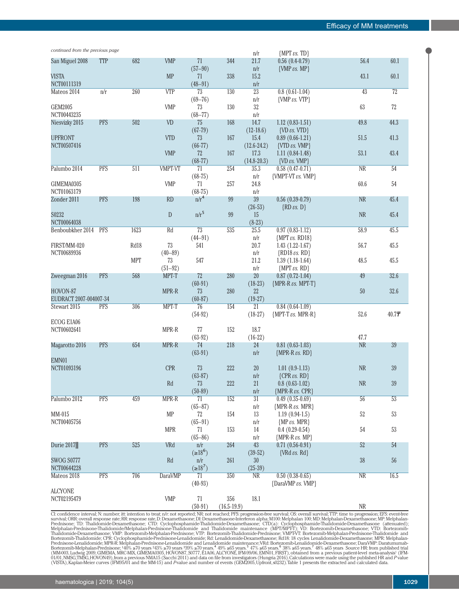| continued from the previous page |            |                  |                            |                     |                        | n/r                                        | ${MPT vs. TD}$                               |                                           |                 |
|----------------------------------|------------|------------------|----------------------------|---------------------|------------------------|--------------------------------------------|----------------------------------------------|-------------------------------------------|-----------------|
| San Miguel 2008                  | <b>TTP</b> | 682              | <b>VMP</b>                 | 71                  | 344                    | 21.7                                       | $0.56(0.4-0.79)$                             | 56.4                                      | 60.1            |
|                                  |            |                  |                            | $(57 - 90)$         |                        | n/r                                        | $\{VMP \text{ } \nu s. \text{ } MP\}$        |                                           |                 |
| <b>VISTA</b>                     |            |                  | <b>MP</b>                  | 71                  | 338                    | 15.2                                       |                                              | 43.1                                      | $60.1\,$        |
| NCT00111319<br>Mateos 2014       | n/r        | 260              | <b>VTP</b>                 | $(48 - 91)$<br>73   | $\overline{130}$       | $\mathrm{n}/\mathrm{r}$<br>$\overline{23}$ | $0.8(0.61-1.04)$                             | $\overline{43}$                           | $\overline{72}$ |
|                                  |            |                  |                            | $(69 - 76)$         |                        | n/r                                        | {VMP vs. VTP}                                |                                           |                 |
| <b>GEM2005</b>                   |            |                  | <b>VMP</b>                 | 73                  | 130                    | $32\,$                                     |                                              | 63                                        | $72\,$          |
| NCT00443235                      |            |                  |                            | $(68 - 77)$         |                        | $\mathrm{n}/\mathrm{r}$                    |                                              |                                           |                 |
| Niesvizky 2015                   | <b>PFS</b> | 502              | VD                         | 75                  | 168                    | 14.7                                       | $1.12(0.83-1.51)$                            | 49.8                                      | 44.3            |
|                                  |            |                  |                            | $(67-79)$           |                        | $(12-18.6)$                                | $\{VD \text{ } \nu s. \text{ VTD}\}\$        |                                           |                 |
| <b>UPFRONT</b>                   |            |                  | <b>VTD</b>                 | 73                  | 167                    | 15.4                                       | $0.89(0.66-1.21)$                            | 51.5                                      | 41.3            |
| NCT00507416                      |            |                  |                            | $(66-77)$           |                        | $(12.6 - 24.2)$                            | {VTD vs. VMP}                                |                                           |                 |
|                                  |            |                  | <b>VMP</b>                 | 72                  | 167                    | 17.3                                       | $1.11(0.84-1.48)$                            | 53.1                                      | 43.4            |
|                                  |            |                  |                            | $(68-77)$           |                        | $(14.8 - 20.3)$                            | $\{VD \text{ } \nu s. \text{ } VMP\}$        |                                           |                 |
| Palumbo 2014                     | <b>PFS</b> | $\overline{511}$ | <b>VMPT-VT</b>             | 71<br>$(68-75)$     | 254                    | 35.3<br>n/r                                | $0.58(0.47-0.71)$<br>{VMPT-VT vs. VMP}       | $\overline{\text{NR}}$                    | 54              |
| GIMEMA0305                       |            |                  | <b>VMP</b>                 | 71                  | $257\,$                | 24.8                                       |                                              | 60.6                                      | $54\,$          |
| NCT01063179                      |            |                  |                            | $(68-75)$           |                        | n/r                                        |                                              |                                           |                 |
| Zonder 2011                      | <b>PFS</b> | 198              | <b>RD</b>                  | $n/r^4$             | 99                     | $39\,$                                     | $0.56(0.39-0.79)$                            | <b>NR</b>                                 | 45.4            |
|                                  |            |                  |                            |                     |                        | $(26-53)$                                  | $\{RD \text{ } vs. \text{ } D\}$             |                                           |                 |
| S0232                            |            |                  | D                          | $n/r^5$             | 99                     | 15                                         |                                              | <b>NR</b>                                 | 45.4            |
| NCT00064038                      |            |                  |                            |                     |                        | $(8-23)$                                   |                                              |                                           |                 |
| Benboubkher 2014                 | <b>PFS</b> | 1623             | Rd                         | $\overline{73}$     | 535                    | 25.5                                       | $0.97(0.83-1.12)$                            | 58.9                                      | 45.5            |
|                                  |            |                  |                            | $(44 - 91)$         |                        | n/r                                        | ${MPT vs. RD18}$                             |                                           |                 |
| FIRST/MM-020                     |            | Rd18             | 73                         | 541                 |                        | $20.7\,$                                   | $1.43(1.22-1.67)$                            | 56.7                                      | 45.5            |
| NCT00689936                      |            |                  | $(40 - 89)$                |                     |                        | n/r                                        | $\{RD18 \text{ } \nu s. \text{ } RD\}$       |                                           |                 |
|                                  |            | <b>MPT</b>       | 73<br>$(51 - 92)$          | 547                 |                        | 21.2<br>n/r                                | $1.39(1.18-1.64)$<br>${MPT \textit{vs. RD}}$ | 48.5                                      | 45.5            |
| Zweegman 2016                    | <b>PFS</b> | 568              | MPT-T                      | 72                  | 280                    | $20\,$                                     | $0.87$ $(0.72-1.04)$                         | 49                                        | 32.6            |
|                                  |            |                  |                            | $(60-91)$           |                        | $(18-23)$                                  | ${MPR-R \text{ } \nu s. \text{ } MPT-T}$     |                                           |                 |
| HOVON-87                         |            |                  | MPR-R                      | 73                  | 280                    | 22                                         |                                              | 50                                        | $32.6\,$        |
| EUDRACT 2007-004007-34           |            |                  |                            | $(60-87)$           |                        | $(19-27)$                                  |                                              |                                           |                 |
| Stewart 2015                     | <b>PFS</b> | 306              | MPT-T                      | 76                  | 154                    | 21                                         | $0.84$ $(0.64-1.09)$                         |                                           |                 |
|                                  |            |                  |                            | $(54-92)$           |                        | $(18-27)$                                  | ${MPT-T vs. MPR-R}$                          | 52.6                                      | 40.77           |
| ECOG E1A06                       |            |                  |                            |                     |                        |                                            |                                              |                                           |                 |
| NCT00602641                      |            |                  | MPR-R                      | 77                  | 152                    | 18.7                                       |                                              |                                           |                 |
| Magarotto 2016                   | <b>PFS</b> | 654              | MPR-R                      | $(63-92)$<br>74     | 218                    | $(16-22)$<br>24                            | $0.81(0.63-1.03)$                            | 47.7<br>$\ensuremath{\mathsf{NR}}\xspace$ | 39              |
|                                  |            |                  |                            | $(63-91)$           |                        | n/r                                        | ${MPR-R \text{ } \nu s. \text{ } RD}$        |                                           |                 |
| EMN01                            |            |                  |                            |                     |                        |                                            |                                              |                                           |                 |
| NCT01093196                      |            |                  | <b>CPR</b>                 | 73                  | 222                    | 20                                         | $1.01(0.9-1.13)$                             | $\rm NR$                                  | $39\,$          |
|                                  |            |                  |                            | $(63-87)$           |                        | n/r                                        | ${CPR \textit{vs. RD}}$                      |                                           |                 |
|                                  |            |                  | $\mathop{\rm Rd}\nolimits$ | 73                  | 222                    | 21                                         | $0.8(0.63-1.02)$                             | $\operatorname{NR}$                       | $39\,$          |
|                                  |            |                  |                            | $(50-89)$           |                        | n/r                                        | {MPR-R vs. CPR}                              |                                           |                 |
| Palumbo 2012                     | <b>PFS</b> | 459              | MPR-R                      | 71                  | $\overline{152}$       | $\overline{31}$                            | $0.49(0.35-0.69)$                            | $\overline{56}$                           | $\overline{53}$ |
|                                  |            |                  |                            | $(65 - 87)$         |                        | n/r                                        | {MPR-R vs. MPR}                              |                                           |                 |
| MM-015<br>NCT00405756            |            |                  | <b>MP</b>                  | 72                  | 154                    | 13                                         | $1.19(0.94-1.5)$<br>${MP vs. MPR}$           | $52\,$                                    | $53\,$          |
|                                  |            |                  | <b>MPR</b>                 | $(65 - 91)$<br>71   | 153                    | n/r<br>14                                  | $0.4(0.29-0.54)$                             | $54\,$                                    | $53\,$          |
|                                  |            |                  |                            | $(65 - 86)$         |                        | n/r                                        | ${MPR-R \text{ } \nu s. \text{ } MP}$        |                                           |                 |
| Durie 2017                       | <b>PFS</b> | 525              | VRd                        | n/r                 | 264                    | 43                                         | $0.71(0.56-0.91)$                            | $52\,$                                    | 54              |
|                                  |            |                  |                            | $(>=18^6)$          |                        | $(39-52)$                                  | $\{V R d \text{ } \nu s. \text{ } R d\}$     |                                           |                 |
| <b>SWOG S0777</b>                |            |                  | $\mathop{\rm Rd}\nolimits$ | n/r                 | 261                    | 30                                         |                                              | $38\,$                                    | ${\bf 56}$      |
| NCT00644228                      |            |                  |                            | (≥18 <sup>7</sup> ) |                        | $(25-39)$                                  |                                              |                                           |                 |
| Mateos 2018                      | <b>PFS</b> | 706              | <b>DaraVMP</b>             | 71                  | 350                    | NR                                         | $0.50(0.38-0.65)$                            | NR                                        | 16.5            |
|                                  |            |                  |                            | $(40-93)$           |                        |                                            | {DaraVMP vs. VMP}                            |                                           |                 |
| <b>ALCYONE</b>                   |            |                  |                            |                     |                        |                                            |                                              |                                           |                 |
| NCT02195479                      |            |                  | <b>VMP</b>                 | 71<br>$(50-91)$     | 356<br>$(16.5 - 19.9)$ | 18.1                                       |                                              | $\rm NR$                                  |                 |
|                                  |            |                  |                            |                     |                        |                                            |                                              |                                           |                 |

CI: confidence interval; N: number; itt: intention to treat; n/r: not reported; NR: not reached; PFS: progression-free survival; OS: overall survival; TTP: time to progression; EFS: event-free<br>survival; ORR: overall respon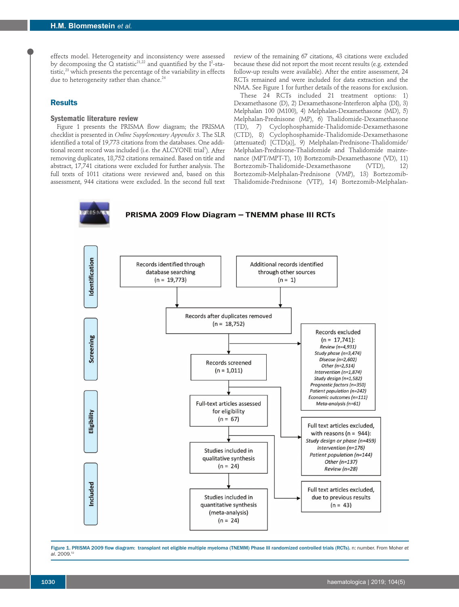effects model. Heterogeneity and inconsistency were assessed by decomposing the Q statistic $^{21,22}$  and quantified by the  $I^2$ -statistic, $23$  which presents the percentage of the variability in effects due to heterogeneity rather than chance.<sup>24</sup>

# **Results**

# **Systematic literature review**

Figure 1 presents the PRISMA flow diagram; the PRISMA checklist is presented in *Online Supplementary Appendix 3*. The SLR identified a total of 19,773 citations from the databases. One additional recent record was included (i.e. the ALCYONE trial<sup>7</sup>). After removing duplicates, 18,752 citations remained. Based on title and abstract, 17,741 citations were excluded for further analysis. The full texts of 1011 citations were reviewed and, based on this assessment, 944 citations were excluded. In the second full text review of the remaining 67 citations, 43 citations were excluded because these did not report the most recent results (e.g. extended follow-up results were available). After the entire assessment, 24 RCTs remained and were included for data extraction and the NMA. See Figure 1 for further details of the reasons for exclusion.

These 24 RCTs included 21 treatment options: 1) Dexamethasone (D), 2) Dexamethasone-Interferon alpha (DI), 3) Melphalan 100 (M100), 4) Melphalan-Dexamethasone (MD), 5) Melphalan-Prednisone (MP), 6) Thalidomide-Dexamethasone (TD), 7) Cyclophosphamide-Thalidomide-Dexamethasone (CTD), 8) Cyclophosphamide-Thalidomide-Dexamethasone (attenuated) [CTD(a)], 9) Melphalan-Prednisone-Thalidomide/ Melphalan-Prednisone-Thalidomide and Thalidomide maintenance (MPT/MPT-T), 10) Bortezomib-Dexamethasone (VD), 11) Bortezomib-Thalidomide-Dexamethasone (VTD), 12) Bortezomib-Melphalan-Prednisone (VMP), 13) Bortezomib-Thalidomide-Prednisone (VTP), 14) Bortezomib-Melphalan-





Figure 1. PRISMA 2009 flow diagram: transplant not eligible multiple myeloma (TNEMM) Phase III randomized controlled trials (RCTs). n: number. From Moher *et al*. 2009.52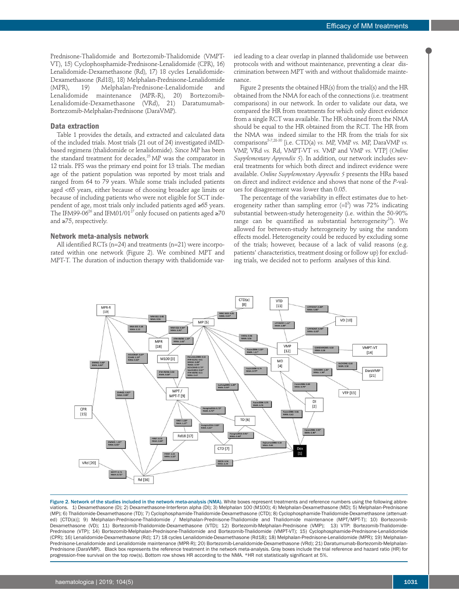Prednisone-Thalidomide and Bortezomib-Thalidomide (VMPT-VT), 15) Cyclophosphamide-Prednisone-Lenalidomide (CPR), 16) Lenalidomide-Dexamethasone (Rd), 17) 18 cycles Lenalidomide-Dexamethasone (Rd18), 18) Melphalan-Prednisone-Lenalidomide (MPR), 19) Melphalan-Prednisone-Lenalidomide and Lenalidomide maintenance (MPR-R), 20) Bortezomib-Lenalidomide-Dexamethasone (VRd), Bortezomib-Melphalan-Prednisone (DaraVMP).

### **Data extraction**

Table 1 provides the details, and extracted and calculated data of the included trials. Most trials (21 out of 24) investigated iMIDbased regimens (thalidomide or lenalidomide). Since MP has been the standard treatment for decades, $^{25}$  MP was the comparator in 12 trials. PFS was the primary end point for 13 trials. The median age of the patient population was reported by most trials and ranged from 64 to 79 years. While some trials included patients aged <65 years, either because of choosing broader age limits or because of including patients who were not eligible for SCT independent of age, most trials only included patients aged ≥65 years. The IFM99-06<sup>26</sup> and IFM01/01<sup>27</sup> only focused on patients aged ≥70 and ≥75, respectively.

### **Network meta-analysis network**

All identified RCTs (n=24) and treatments (n=21) were incorporated within one network (Figure 2). We combined MPT and MPT-T. The duration of induction therapy with thalidomide var-

ied leading to a clear overlap in planned thalidomide use between protocols with and without maintenance, preventing a clear discrimination between MPT with and without thalidomide maintenance.

Figure 2 presents the obtained HR(s) from the trial(s) and the HR obtained from the NMA for each of the connections (i.e. treatment comparisons) in our network. In order to validate our data, we compared the HR from treatments for which only direct evidence from a single RCT was available. The HR obtained from the NMA should be equal to the HR obtained from the RCT. The HR from the NMA was indeed similar to the HR from the trials for six comparisons5-7,28-30 [i.e. CTD(a) *vs.* MP, VMP *vs.* MP, DaraVMP *vs.* VMP, VRd *vs.* Rd, VMPT-VT *vs.* VMP and VMP *vs.* VTP] (*Online Supplementary Appendix 5*). In addition, our network includes several treatments for which both direct and indirect evidence were available. *Online Supplementary Appendix 5* presents the HRs based on direct and indirect evidence and shows that none of the *P*-values for disagreement was lower than 0.05.

The percentage of the variability in effect estimates due to heterogeneity rather than sampling error  $(=I^2)$  was 72% indicating substantial between-study heterogeneity (i.e. within the 50-90% range can be quantified as substantial heterogeneity<sup>24</sup>). We allowed for between-study heterogeneity by using the random effects model. Heterogeneity could be reduced by excluding some of the trials; however, because of a lack of valid reasons (e.g. patients' characteristics, treatment dosing or follow up) for excluding trials, we decided not to perform analyses of this kind.



Figure 2. Network of the studies included in the network meta-analysis (NMA). White boxes represent treatments and reference numbers using the following abbreviations. 1) Dexamethasone (D); 2) Dexamethasone-Interferon alpha (DI); 3) Melphalan 100 (M100); 4) Melphalan-Dexamethasone (MD); 5) Melphalan-Prednisone (MP); 6) Thalidomide-Dexamethasone (TD); 7) Cyclophosphamide-Thalidomide-Dexamethasone (CTD); 8) Cyclophosphamide-Thalidomide-Dexamethasone (attenuated) [CTD(a)]; 9) Melphalan-Prednisone-Thalidomide / Melphalan-Prednisone-Thalidomide and Thalidomide maintenance (MPT/MPT-T); 10) Bortezomib-Dexamethasone (VD); 11) Bortezomib-Thalidomide-Dexamethasone (VTD); 12) Bortezomib-Melphalan-Prednisone (VMP); 13) VTP: Bortezomib-Thalidomide-Prednisone (VTP); 14) Bortezomib-Melphalan-Prednisone-Thalidomide and Bortezomib-Thalidomide (VMPT-VT); 15) Cyclophosphamide-Prednisone-Lenalidomide (CPR); 16) Lenalidomide-Dexamethasone (Rd); 17) 18 cycles Lenalidomide-Dexamethasone (Rd18); 18) Melphalan-Prednisone-Lenalidomide (MPR); 19) Melphalan-Prednisone-Lenalidomide and Lenalidomide maintenance (MPR-R); 20) Bortezomib-Lenalidomide-Dexamethasone (VRd); 21) Daratumumab-Bortezomib-Melphalan-Prednisone (DaraVMP). Black box represents the reference treatment in the network meta-analysis. Gray boxes include the trial reference and hazard ratio (HR) for progression-free survival on the top row(s). Bottom row shows HR according to the NMA. \*HR not statistically significant at 5%.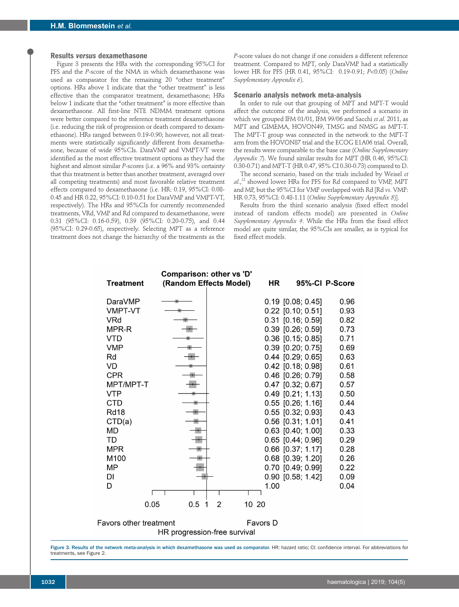### **Results** *versus* **dexamethasone**

Figure 3 presents the HRs with the corresponding 95%CI for PFS and the *P*-score of the NMA in which dexamethasone was used as comparator for the remaining 20 "other treatment" options. HRs above 1 indicate that the "other treatment" is less effective than the comparator treatment, dexamethasone; HRs below 1 indicate that the "other treatment" is more effective than dexamethasone. All first-line NTE NDMM treatment options were better compared to the reference treatment dexamethasone (i.e. reducing the risk of progression or death compared to dexamethasone). HRs ranged between 0.19-0.90; however, not all treatments were statistically significantly different from dexamethasone, because of wide 95%CIs. DaraVMP and VMPT-VT were identified as the most effective treatment options as they had the highest and almost similar *P*-scores (i.e. a 96% and 93% certainty that this treatment is better than another treatment, averaged over all competing treatments) and most favorable relative treatment effects compared to dexamethasone (i.e. HR: 0.19, 95%CI: 0.08- 0.45 and HR 0.22, 95%CI: 0.10-0.51 for DaraVMP and VMPT-VT, respectively). The HRs and 95%CIs for currently recommended treatments, VRd, VMP and Rd compared to dexamethasone, were 0.31 (95%CI: 0.16-0.59), 0.39 (95%CI: 0.20-0.75), and 0.44 (95%CI: 0.29-0.65), respectively. Selecting MPT as a reference treatment does not change the hierarchy of the treatments as the

*P*-score values do not change if one considers a different reference treatment. Compared to MPT, only DaraVMP had a statistically lower HR for PFS (HR 0.41, 95%CI: 0.19-0.91; *P*<0.05) (*Online Supplementary Appendix 6*).

#### **Scenario analysis network meta-analysis**

In order to rule out that grouping of MPT and MPT-T would affect the outcome of the analysis, we performed a scenario in which we grouped IFM 01/01, IFM 99/06 and Sacchi *et al*. 2011, as MPT and GIMEMA, HOVON49, TMSG and NMSG as MPT-T. The MPT-T group was connected in the network to the MPT-T arm from the HOVON87 trial and the ECOG E1A06 trial. Overall, the results were comparable to the base case (*Online Supplementary Appendix 7*). We found similar results for MPT (HR 0.46, 95%CI: 0.30-0.71) and MPT-T (HR 0.47, 95% CI 0.30-0.73) compared to D.

The second scenario, based on the trials included by Weisel *et al*.,12 showed lower HRs for PFS for Rd compared to VMP, MPT and MP, but the 95%CI for VMP overlapped with Rd [Rd *vs.* VMP: HR 0.73, 95%CI: 0.48-1.11 (*Online Supplementary Appendix 8*)].

Results from the third scenario analysis (fixed effect model instead of random effects model) are presented in *Online Supplementary Appendix 9*. While the HRs from the fixed effect model are quite similar, the 95%CIs are smaller, as is typical for fixed effect models.

| Comparison: other vs 'D'      |          |                        |          |                     |                |  |  |  |  |
|-------------------------------|----------|------------------------|----------|---------------------|----------------|--|--|--|--|
| <b>Treatment</b>              |          | (Random Effects Model) | HR       |                     | 95%-CI P-Score |  |  |  |  |
| DaraVMP                       |          |                        |          | $0.19$ [0.08; 0.45] | 0.96           |  |  |  |  |
| <b>VMPT-VT</b>                |          |                        |          | $0.22$ [0.10; 0.51] | 0.93           |  |  |  |  |
| VRd                           |          |                        |          | $0.31$ [0.16; 0.59] | 0.82           |  |  |  |  |
| MPR-R                         |          |                        |          | $0.39$ [0.26; 0.59] | 0.73           |  |  |  |  |
| <b>VTD</b>                    |          |                        |          | $0.36$ [0.15; 0.85] | 0.71           |  |  |  |  |
| <b>VMP</b>                    |          |                        |          | $0.39$ [0.20; 0.75] | 0.69           |  |  |  |  |
| Rd                            |          |                        |          | $0.44$ [0.29; 0.65] | 0.63           |  |  |  |  |
| VD                            |          |                        |          | $0.42$ [0.18; 0.98] | 0.61           |  |  |  |  |
| <b>CPR</b>                    |          |                        |          | 0.46 [0.26; 0.79]   | 0.58           |  |  |  |  |
| MPT/MPT-T                     |          |                        |          | 0.47 [0.32; 0.67]   | 0.57           |  |  |  |  |
| <b>VTP</b>                    |          |                        |          | $0.49$ [0.21; 1.13] | 0.50           |  |  |  |  |
| CTD                           |          |                        |          | $0.55$ [0.26; 1.16] | 0.44           |  |  |  |  |
| <b>Rd18</b>                   |          |                        |          | $0.55$ [0.32; 0.93] | 0.43           |  |  |  |  |
| CTD(a)                        |          |                        |          | 0.56 [0.31; 1.01]   | 0.41           |  |  |  |  |
| <b>MD</b>                     |          |                        |          | 0.63 [0.40; 1.00]   | 0.33           |  |  |  |  |
| TD                            |          |                        |          | $0.65$ [0.44; 0.96] | 0.29           |  |  |  |  |
| <b>MPR</b>                    |          |                        |          | 0.66 [0.37; 1.17]   | 0.28           |  |  |  |  |
| M100                          |          |                        |          | $0.68$ [0.39; 1.20] | 0.26           |  |  |  |  |
| MP                            |          |                        |          | 0.70 [0.49; 0.99]   | 0.22           |  |  |  |  |
| DI                            |          |                        |          | 0.90 [0.58; 1.42]   | 0.09           |  |  |  |  |
| D                             |          |                        | 1.00     |                     | 0.04           |  |  |  |  |
|                               |          |                        |          |                     |                |  |  |  |  |
| 0.05                          | 0.5<br>1 | 2                      | 10 20    |                     |                |  |  |  |  |
| <b>Favors other treatment</b> |          |                        | Favors D |                     |                |  |  |  |  |
| HR progression-free survival  |          |                        |          |                     |                |  |  |  |  |

Figure 3. Results of the network meta-analysis in which dexamethasone was used as comparator. HR: hazard ratio; CI: confidence interval. For abbreviations for treatments, see Figure 2.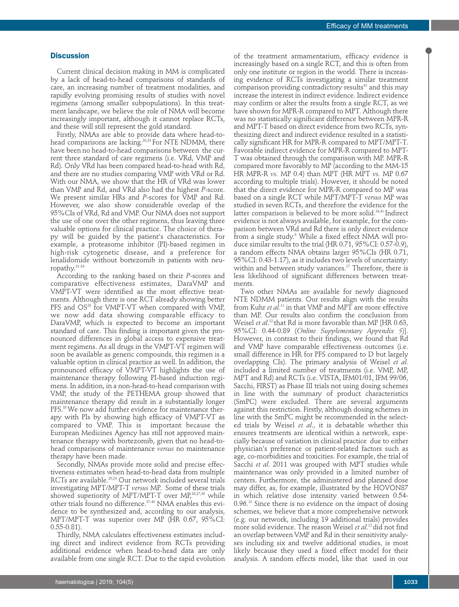### **Discussion**

Current clinical decision making in MM is complicated by a lack of head-to-head comparisons of standards of care, an increasing number of treatment modalities, and rapidly evolving promising results of studies with novel regimens (among smaller subpopulations). In this treatment landscape, we believe the role of NMA will become increasingly important, although it cannot replace RCTs, and these will still represent the gold standard.

Firstly, NMAs are able to provide data where head-tohead comparisons are lacking.<sup>20,24</sup> For NTE NDMM, there have been no head-to-head comparisons between the current three standard of care regimens (i.e. VRd, VMP and Rd). Only VRd has been compared head-to-head with Rd, and there are no studies comparing VMP with VRd or Rd. With our NMA, we show that the HR of VRd was lower than VMP and Rd, and VRd also had the highest *P*-score. We present similar HRs and *P*-scores for VMP and Rd. However, we also show considerable overlap of the 95%CIs of VRd, Rd and VMP. Our NMA does not support the use of one over the other regimens, thus leaving three valuable options for clinical practice. The choice of therapy will be guided by the patient's characteristics. For example, a proteasome inhibitor (PI)-based regimen in high-risk cytogenetic disease, and a preference for lenalidomide without bortezomib in patients with neuropathy.31-34

According to the ranking based on their *P*-scores and comparative effectiveness estimates, DaraVMP and VMPT-VT were identified as the most effective treatments. Although there is one RCT already showing better PFS and OS<sup>28</sup> for VMPT-VT when compared with VMP, we now add data showing comparable efficacy to DaraVMP, which is expected to become an important standard of care. This finding is important given the pronounced differences in global access to expensive treatment regimens. As all drugs in the VMPT-VT regimen will soon be available as generic compounds, this regimen is a valuable option in clinical practice as well. In addition, the pronounced efficacy of VMPT-VT highlights the use of maintenance therapy following PI-based induction regimens. In addition, in a non-head-to-head comparison with VMP, the study of the PETHEMA group showed that maintenance therapy did result in a substantially longer PFS.<sup>35</sup> We now add further evidence for maintenance therapy with PIs by showing high efficacy of VMPT-VT as compared to VMP. This is important because the European Medicines Agency has still not approved maintenance therapy with bortezomib, given that no head-tohead comparisons of maintenance *versus* no maintenance therapy have been made.

Secondly, NMAs provide more solid and precise effectiveness estimates when head-to-head data from multiple RCTs are available.<sup>20,24</sup> Our network included several trials investigating MPT/MPT-T *versus* MP. Some of these trials showed superiority of MPT/MPT-T over MP,<sup>26,27,36</sup> while other trials found no difference.37-40 NMA enables this evidence to be synthesized and, according to our analysis, MPT/MPT-T was superior over MP (HR 0.67, 95%CI: 0.55-0.81).

Thirdly, NMA calculates effectiveness estimates including direct and indirect evidence from RCTs providing additional evidence when head-to-head data are only available from one single RCT. Due to the rapid evolution

of the treatment armamentarium, efficacy evidence is increasingly based on a single RCT, and this is often from only one institute or region in the world. There is increasing evidence of RCTs investigating a similar treatment comparison providing contradictory results<sup>41</sup> and this may increase the interest in indirect evidence. Indirect evidence may confirm or alter the results from a single RCT, as we have shown for MPR-R compared to MPT. Although there was no statistically significant difference between MPR-R and MPT-T based on direct evidence from two RCTs, synthesizing direct and indirect evidence resulted in a statistically significant HR for MPR-R compared to MPT/MPT-T. Favorable indirect evidence for MPR-R compared to MPT-T was obtained through the comparison with MP. MPR-R compared more favorably to MP (according to the MM-15 HR MPR-R *vs.* MP 0.4) than MPT (HR MPT *vs.* MP 0.67 according to multiple trials). However, it should be noted that the direct evidence for MPR-R compared to MP was based on a single RCT while MPT/MPT-T *versus* MP was studied in seven RCTs, and therefore the evidence for the latter comparison is believed to be more solid.<sup>24,41</sup> Indirect evidence is not always available, for example, for the comparison between VRd and Rd there is only direct evidence from a single study.<sup>6</sup> While a fixed effect NMA will produce similar results to the trial (HR 0.71, 95%CI: 0.57-0.9), a random effects NMA obtains larger 95%CIs (HR 0.71, 95%CI: 0.43-1.17), as it includes two levels of uncertainty: within and between study variances.<sup>17</sup> Therefore, there is less likelihood of significant differences between treatments.

Two other NMAs are available for newly diagnosed NTE NDMM patients. Our results align with the results from Kuhr *et al*. <sup>11</sup> in that VMP and MPT are more effective than MP. Our results also confirm the conclusion from Weisel *et al*. 12 that Rd is more favorable than MP [HR 0.63, 95%CI: 0.44-0.89 (*Online Supplementary Appendix 5*)]. However, in contrast to their findings, we found that Rd and VMP have comparable effectiveness outcomes (i.e. small difference in HR for PFS compared to D but largely overlapping CIs). The primary analysis of Weisel *et al*. included a limited number of treatments (i.e. VMP, MP, MPT and Rd) and RCTs (i.e. VISTA, IFM01/01, IFM 99/06, Sacchi, FIRST) as Phase III trials not using dosing schemes in line with the summary of product characteristics (SmPC) were excluded. There are several arguments against this restriction. Firstly, although dosing schemes in line with the SmPC might be recommended in the selected trials by Weisel *et al*., it is debatable whether this ensures treatments are identical within a network, especially because of variation in clinical practice due to either physician's preference or patient-related factors such as age, co-morbidities and toxicities. For example, the trial of Sacchi *et al*. 2011 was grouped with MPT studies while maintenance was only provided in a limited number of centers. Furthermore, the administered and planned dose may differ, as, for example, illustrated by the HOVON87 in which relative dose intensity varied between 0.54- 0.96.13 Since there is no evidence on the impact of dosing schemes, we believe that a more comprehensive network (e.g. our network, including 19 additional trials) provides more solid evidence. The reason Weisel *et al*. 12 did not find an overlap between VMP and Rd in their sensitivity analyses including six and twelve additional studies, is most likely because they used a fixed effect model for their analysis. A random effects model, like that used in our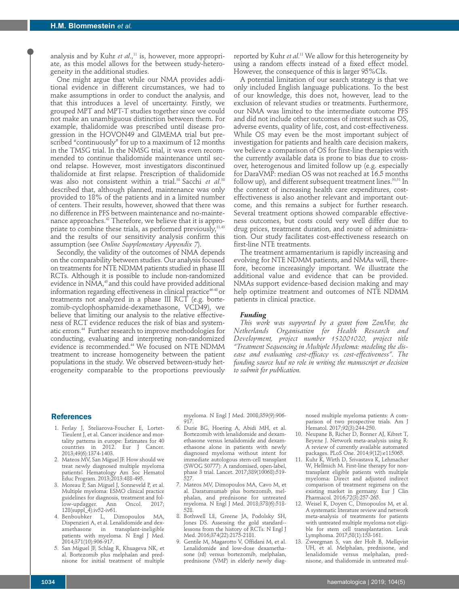analysis and by Kuhr *et al.*,<sup>11</sup> is, however, more appropriate, as this model allows for the between study-heterogeneity in the additional studies.

One might argue that while our NMA provides additional evidence in different circumstances, we had to make assumptions in order to conduct the analysis, and that this introduces a level of uncertainty. Firstly, we grouped MPT and MPT-T studies together since we could not make an unambiguous distinction between them. For example, thalidomide was prescribed until disease progression in the HOVON49 and GIMEMA trial but prescribed "continuously" for up to a maximum of 12 months in the TMSG trial. In the NMSG trial, it was even recommended to continue thalidomide maintenance until second relapse. However, most investigators discontinued thalidomide at first relapse. Prescription of thalidomide was also not consistent within a trial.<sup>38</sup> Sacchi *et al*.<sup>38</sup> described that, although planned, maintenance was only provided to 18% of the patients and in a limited number of centers. Their results, however, showed that there was no difference in PFS between maintenance and no-maintenance approaches.42 Therefore, we believe that it is appropriate to combine these trials, as performed previously, $11,43$ and the results of our sensitivity analysis confirm this assumption (see *Online Supplementary Appendix 7*).

Secondly, the validity of the outcomes of NMA depends on the comparability between studies. Our analysis focused on treatments for NTE NDMM patients studied in phase III RCTs. Although it is possible to include non-randomized evidence in NMA,<sup>45</sup> and this could have provided additional information regarding effectiveness in clinical practice<sup>46-48</sup> or treatments not analyzed in a phase III RCT (e.g. bortezomib-cyclophosphamide-dexamethasone, VCD49), we believe that limiting our analysis to the relative effectiveness of RCT evidence reduces the risk of bias and systematic errors.44 Further research to improve methodologies for conducting, evaluating and interpreting non-randomized evidence is recommended.44 We focused on NTE NDMM treatment to increase homogeneity between the patient populations in the study. We observed between-study heterogeneity comparable to the proportions previously

reported by Kuhr *et al*. <sup>11</sup> We allow for this heterogeneity by using a random effects instead of a fixed effect model. However, the consequence of this is larger 95%CIs.

A potential limitation of our search strategy is that we only included English language publications. To the best of our knowledge, this does not, however, lead to the exclusion of relevant studies or treatments. Furthermore, our NMA was limited to the intermediate outcome PFS and did not include other outcomes of interest such as OS, adverse events, quality of life, cost, and cost-effectiveness. While OS may even be the most important subject of investigation for patients and health care decision makers, we believe a comparison of OS for first-line therapies with the currently available data is prone to bias due to crossover, heterogenous and limited follow up (e.g. especially for DaraVMP: median OS was not reached at 16.5 months follow up), and different subsequent treatment lines.<sup>50,51</sup> In the context of increasing health care expenditures, costeffectiveness is also another relevant and important outcome, and this remains a subject for further research. Several treatment options showed comparable effectiveness outcomes, but costs could very well differ due to drug prices, treatment duration, and route of administration. Our study facilitates cost-effectiveness research on first-line NTE treatments.

The treatment armamentarium is rapidly increasing and evolving for NTE NDMM patients, and NMAs will, therefore, become increasingly important. We illustrate the additional value and evidence that can be provided. NMAs support evidence-based decision making and may help optimize treatment and outcomes of NTE NDMM patients in clinical practice.

### *Funding*

*This work was supported by a grant from ZonMw, the Netherlands Organisation for Health Research and Development, project number 152001020, project title "Treatment Sequencing in Multiple Myeloma: modeling the disease and evaluating cost-efficacy vs. cost-effectiveness". The funding source had no role in writing the manuscript or decision to submit for publication.*

### **References**

- 1. Ferlay J, Steliarova-Foucher E, Lortet-Tieulent J, et al. Cancer incidence and mortality patterns in europe: Estimates for 40 countries in 2012. Eur J Cancer. 2013;49(6):1374-1403.
- 2. Mateos MV, San Miguel JF. How should we treat newly diagnosed multiple myeloma patients? Hematology Am Soc Hematol Educ Program. 2013;2013:488-495.
- 3. Moreau P, San Miguel J, Sonneveld P, et al. Multiple myeloma: ESMO clinical practice guidelines for diagnosis, treatment and follow-updagger. Ann 128(suppl\_4):iv52-iv61.
- 4. Benboubker L, Dimopoulos MA, Dispenzieri A, et al. Lenalidomide and dexamethasone in transplant-ineligible patients with myeloma. N Engl J Med. 2014;371(10):906-917.
- 5. San Miguel JF, Schlag R, Khuageva NK, et al. Bortezomib plus melphalan and prednisone for initial treatment of multiple

myeloma. N Engl J Med. 2008;359(9):906- 917.

- 6. Durie BG, Hoering A, Abidi MH, et al. Bortezomib with lenalidomide and dexamethasone versus lenalidomide and dexamethasone alone in patients with newly diagnosed myeloma without intent for immediate autologous stem-cell transplant (SWOG S0777): A randomised, open-label, phase 3 trial. Lancet. 2017;389(10068):519- 527.
- 7. Mateos MV, Dimopoulos MA, Cavo M, et al. Daratumumab plus bortezomib, melphalan, and prednisone for untreated myeloma. N Engl J Med. 2018;378(6):518- 528.
- 8. Bothwell LE, Greene JA, Podolsky SH, Jones DS. Assessing the gold standard- lessons from the history of RCTs. N Engl J Med. 2016;374(22):2175-2181.
- 9. Gentile M, Magarotto V, Offidani M, et al. Lenalidomide and low-dose dexamethasone (rd) versus bortezomib, melphalan, prednisone (VMP) in elderly newly diag-

nosed multiple myeloma patients: A comparison of two prospective trials. Am J Hematol. 2017;92(3):244-250.

- 10. Neupane B, Richer D, Bonner AJ, Kibret T, Beyene J. Network meta-analysis using R: A review of currently available automated packages. PLoS One. 2014;9(12):e115065.
- 11. Kuhr K, Wirth D, Srivastava K, Lehmacher W, Hellmich M. First-line therapy for nontransplant eligible patients with multiple myeloma: Direct and adjusted indirect comparison of treatment regimens on the existing market in germany. Eur J Clin Pharmacol. 2016;72(3):257-265.
- 12. Weisel K, Doyen C, Dimopoulos M, et al. A systematic literature review and network meta-analysis of treatments for patients with untreated multiple myeloma not eligible for stem cell transplantation. Leuk Lymphoma. 2017;58(1):153-161.
- 13. Zweegman S, van der Holt B, Mellqvist UH, et al. Melphalan, prednisone, and lenalidomide versus melphalan, prednisone, and thalidomide in untreated mul-